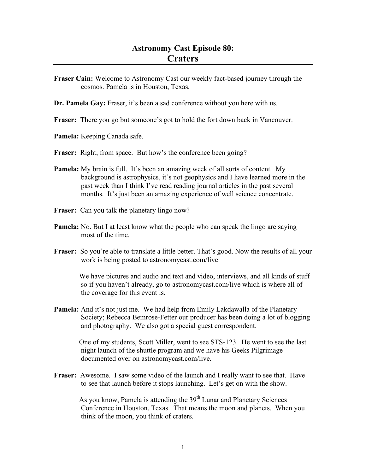- **Fraser Cain:** Welcome to Astronomy Cast our weekly fact-based journey through the cosmos. Pamela is in Houston, Texas.
- **Dr. Pamela Gay:** Fraser, it's been a sad conference without you here with us.
- **Fraser:** There you go but someone's got to hold the fort down back in Vancouver.
- **Pamela:** Keeping Canada safe.
- **Fraser:** Right, from space. But how's the conference been going?
- **Pamela:** My brain is full. It's been an amazing week of all sorts of content. My background is astrophysics, it's not geophysics and I have learned more in the past week than I think I've read reading journal articles in the past several months. It's just been an amazing experience of well science concentrate.
- **Fraser:** Can you talk the planetary lingo now?
- **Pamela:** No. But I at least know what the people who can speak the lingo are saying most of the time.
- **Fraser:** So you're able to translate a little better. That's good. Now the results of all your work is being posted to astronomycast.com/live

We have pictures and audio and text and video, interviews, and all kinds of stuff so if you haven't already, go to astronomycast.com/live which is where all of the coverage for this event is.

**Pamela:** And it's not just me. We had help from Emily Lakdawalla of the Planetary Society; Rebecca Bemrose-Fetter our producer has been doing a lot of blogging and photography. We also got a special guest correspondent.

One of my students, Scott Miller, went to see STS-123. He went to see the last night launch of the shuttle program and we have his Geeks Pilgrimage documented over on astronomycast.com/live.

**Fraser:** Awesome. I saw some video of the launch and I really want to see that. Have to see that launch before it stops launching. Let's get on with the show.

As you know, Pamela is attending the  $39<sup>th</sup>$  Lunar and Planetary Sciences Conference in Houston, Texas. That means the moon and planets. When you think of the moon, you think of craters.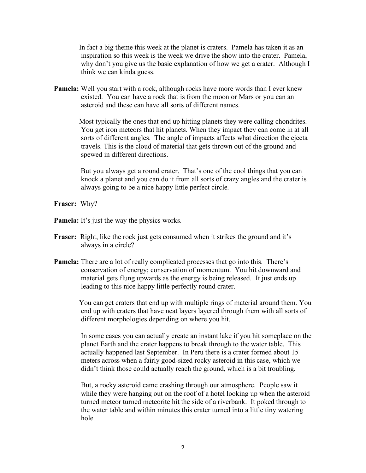In fact a big theme this week at the planet is craters. Pamela has taken it as an inspiration so this week is the week we drive the show into the crater. Pamela, why don't you give us the basic explanation of how we get a crater. Although I think we can kinda guess.

**Pamela:** Well you start with a rock, although rocks have more words than I ever knew existed. You can have a rock that is from the moon or Mars or you can an asteroid and these can have all sorts of different names.

> Most typically the ones that end up hitting planets they were calling chondrites. You get iron meteors that hit planets. When they impact they can come in at all sorts of different angles. The angle of impacts affects what direction the ejecta travels. This is the cloud of material that gets thrown out of the ground and spewed in different directions.

> But you always get a round crater. That's one of the cool things that you can knock a planet and you can do it from all sorts of crazy angles and the crater is always going to be a nice happy little perfect circle.

**Fraser:** Why?

**Pamela:** It's just the way the physics works.

- **Fraser:** Right, like the rock just gets consumed when it strikes the ground and it's always in a circle?
- **Pamela:** There are a lot of really complicated processes that go into this. There's conservation of energy; conservation of momentum. You hit downward and material gets flung upwards as the energy is being released. It just ends up leading to this nice happy little perfectly round crater.

You can get craters that end up with multiple rings of material around them. You end up with craters that have neat layers layered through them with all sorts of different morphologies depending on where you hit.

In some cases you can actually create an instant lake if you hit someplace on the planet Earth and the crater happens to break through to the water table. This actually happened last September. In Peru there is a crater formed about 15 meters across when a fairly good-sized rocky asteroid in this case, which we didn't think those could actually reach the ground, which is a bit troubling.

But, a rocky asteroid came crashing through our atmosphere. People saw it while they were hanging out on the roof of a hotel looking up when the asteroid turned meteor turned meteorite hit the side of a riverbank. It poked through to the water table and within minutes this crater turned into a little tiny watering hole.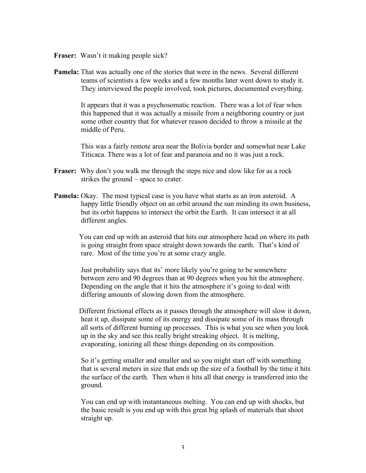- **Fraser:** Wasn't it making people sick?
- **Pamela:** That was actually one of the stories that were in the news. Several different teams of scientists a few weeks and a few months later went down to study it. They interviewed the people involved, took pictures, documented everything.

It appears that it was a psychosomatic reaction. There was a lot of fear when this happened that it was actually a missile from a neighboring country or just some other country that for whatever reason decided to throw a missile at the middle of Peru.

This was a fairly remote area near the Bolivia border and somewhat near Lake Titicaca. There was a lot of fear and paranoia and no it was just a rock.

- **Fraser:** Why don't you walk me through the steps nice and slow like for as a rock strikes the ground – space to crater.
- **Pamela:** Okay. The most typical case is you have what starts as an iron asteroid. A happy little friendly object on an orbit around the sun minding its own business, but its orbit happens to intersect the orbit the Earth. It can intersect it at all different angles.

You can end up with an asteroid that hits our atmosphere head on where its path is going straight from space straight down towards the earth. That's kind of rare. Most of the time you're at some crazy angle.

Just probability says that its' more likely you're going to be somewhere between zero and 90 degrees than at 90 degrees when you hit the atmosphere. Depending on the angle that it hits the atmosphere it's going to deal with differing amounts of slowing down from the atmosphere.

Different frictional effects as it passes through the atmosphere will slow it down, heat it up, dissipate some of its energy and dissipate some of its mass through all sorts of different burning up processes. This is what you see when you look up in the sky and see this really bright streaking object. It is melting, evaporating, ionizing all these things depending on its composition.

So it's getting smaller and smaller and so you might start off with something that is several meters in size that ends up the size of a football by the time it hits the surface of the earth. Then when it hits all that energy is transferred into the ground.

You can end up with instantaneous melting. You can end up with shocks, but the basic result is you end up with this great big splash of materials that shoot straight up.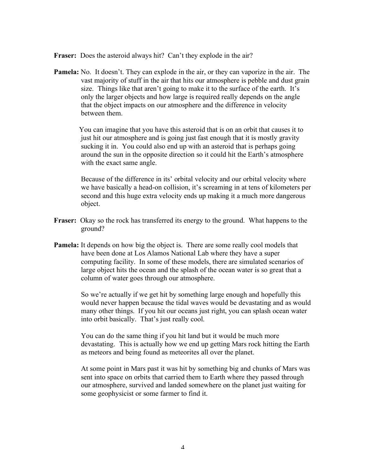**Fraser:** Does the asteroid always hit? Can't they explode in the air?

**Pamela:** No. It doesn't. They can explode in the air, or they can vaporize in the air. The vast majority of stuff in the air that hits our atmosphere is pebble and dust grain size. Things like that aren't going to make it to the surface of the earth. It's only the larger objects and how large is required really depends on the angle that the object impacts on our atmosphere and the difference in velocity between them.

You can imagine that you have this asteroid that is on an orbit that causes it to just hit our atmosphere and is going just fast enough that it is mostly gravity sucking it in. You could also end up with an asteroid that is perhaps going around the sun in the opposite direction so it could hit the Earth's atmosphere with the exact same angle.

Because of the difference in its' orbital velocity and our orbital velocity where we have basically a head-on collision, it's screaming in at tens of kilometers per second and this huge extra velocity ends up making it a much more dangerous object.

- **Fraser:** Okay so the rock has transferred its energy to the ground. What happens to the ground?
- **Pamela:** It depends on how big the object is. There are some really cool models that have been done at Los Alamos National Lab where they have a super computing facility. In some of these models, there are simulated scenarios of large object hits the ocean and the splash of the ocean water is so great that a column of water goes through our atmosphere.

So we're actually if we get hit by something large enough and hopefully this would never happen because the tidal waves would be devastating and as would many other things. If you hit our oceans just right, you can splash ocean water into orbit basically. That's just really cool.

You can do the same thing if you hit land but it would be much more devastating. This is actually how we end up getting Mars rock hitting the Earth as meteors and being found as meteorites all over the planet.

At some point in Mars past it was hit by something big and chunks of Mars was sent into space on orbits that carried them to Earth where they passed through our atmosphere, survived and landed somewhere on the planet just waiting for some geophysicist or some farmer to find it.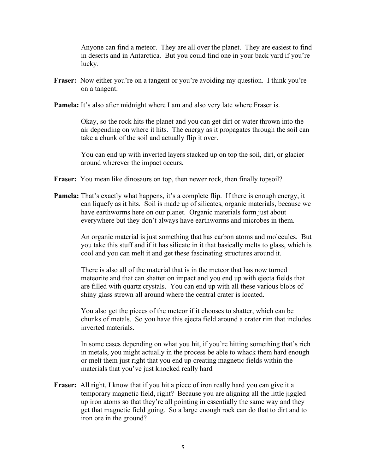Anyone can find a meteor. They are all over the planet. They are easiest to find in deserts and in Antarctica. But you could find one in your back yard if you're lucky.

- **Fraser:** Now either you're on a tangent or you're avoiding my question. I think you're on a tangent.
- **Pamela:** It's also after midnight where I am and also very late where Fraser is.

Okay, so the rock hits the planet and you can get dirt or water thrown into the air depending on where it hits. The energy as it propagates through the soil can take a chunk of the soil and actually flip it over.

You can end up with inverted layers stacked up on top the soil, dirt, or glacier around wherever the impact occurs.

- **Fraser:** You mean like dinosaurs on top, then newer rock, then finally topsoil?
- **Pamela:** That's exactly what happens, it's a complete flip. If there is enough energy, it can liquefy as it hits. Soil is made up of silicates, organic materials, because we have earthworms here on our planet. Organic materials form just about everywhere but they don't always have earthworms and microbes in them.

An organic material is just something that has carbon atoms and molecules. But you take this stuff and if it has silicate in it that basically melts to glass, which is cool and you can melt it and get these fascinating structures around it.

There is also all of the material that is in the meteor that has now turned meteorite and that can shatter on impact and you end up with ejecta fields that are filled with quartz crystals. You can end up with all these various blobs of shiny glass strewn all around where the central crater is located.

You also get the pieces of the meteor if it chooses to shatter, which can be chunks of metals. So you have this ejecta field around a crater rim that includes inverted materials.

In some cases depending on what you hit, if you're hitting something that's rich in metals, you might actually in the process be able to whack them hard enough or melt them just right that you end up creating magnetic fields within the materials that you've just knocked really hard

**Fraser:** All right, I know that if you hit a piece of iron really hard you can give it a temporary magnetic field, right? Because you are aligning all the little jiggled up iron atoms so that they're all pointing in essentially the same way and they get that magnetic field going. So a large enough rock can do that to dirt and to iron ore in the ground?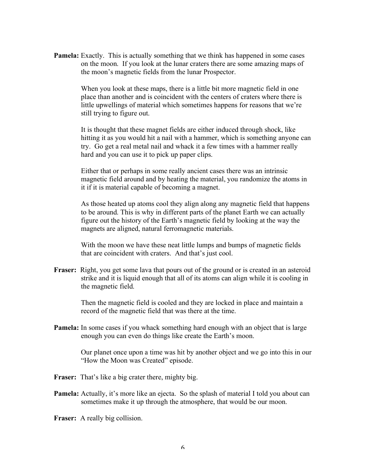**Pamela:** Exactly. This is actually something that we think has happened in some cases on the moon. If you look at the lunar craters there are some amazing maps of the moon's magnetic fields from the lunar Prospector.

> When you look at these maps, there is a little bit more magnetic field in one place than another and is coincident with the centers of craters where there is little upwellings of material which sometimes happens for reasons that we're still trying to figure out.

It is thought that these magnet fields are either induced through shock, like hitting it as you would hit a nail with a hammer, which is something anyone can try. Go get a real metal nail and whack it a few times with a hammer really hard and you can use it to pick up paper clips.

Either that or perhaps in some really ancient cases there was an intrinsic magnetic field around and by heating the material, you randomize the atoms in it if it is material capable of becoming a magnet.

As those heated up atoms cool they align along any magnetic field that happens to be around. This is why in different parts of the planet Earth we can actually figure out the history of the Earth's magnetic field by looking at the way the magnets are aligned, natural ferromagnetic materials.

With the moon we have these neat little lumps and bumps of magnetic fields that are coincident with craters. And that's just cool.

**Fraser:** Right, you get some lava that pours out of the ground or is created in an asteroid strike and it is liquid enough that all of its atoms can align while it is cooling in the magnetic field.

> Then the magnetic field is cooled and they are locked in place and maintain a record of the magnetic field that was there at the time.

**Pamela:** In some cases if you whack something hard enough with an object that is large enough you can even do things like create the Earth's moon.

> Our planet once upon a time was hit by another object and we go into this in our "How the Moon was Created" episode.

- Fraser: That's like a big crater there, mighty big.
- **Pamela:** Actually, it's more like an ejecta. So the splash of material I told you about can sometimes make it up through the atmosphere, that would be our moon.

**Fraser:** A really big collision.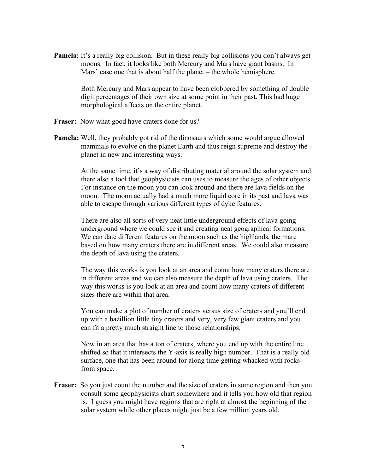**Pamela:** It's a really big collision. But in these really big collisions you don't always get moons. In fact, it looks like both Mercury and Mars have giant basins. In Mars' case one that is about half the planet – the whole hemisphere.

> Both Mercury and Mars appear to have been clobbered by something of double digit percentages of their own size at some point in their past. This had huge morphological affects on the entire planet.

- Fraser: Now what good have craters done for us?
- **Pamela:** Well, they probably got rid of the dinosaurs which some would argue allowed mammals to evolve on the planet Earth and thus reign supreme and destroy the planet in new and interesting ways.

At the same time, it's a way of distributing material around the solar system and there also a tool that geophysicists can uses to measure the ages of other objects. For instance on the moon you can look around and there are lava fields on the moon. The moon actually had a much more liquid core in its past and lava was able to escape through various different types of dyke features.

There are also all sorts of very neat little underground effects of lava going underground where we could see it and creating neat geographical formations. We can date different features on the moon such as the highlands, the mare based on how many craters there are in different areas. We could also measure the depth of lava using the craters.

The way this works is you look at an area and count how many craters there are in different areas and we can also measure the depth of lava using craters. The way this works is you look at an area and count how many craters of different sizes there are within that area.

You can make a plot of number of craters versus size of craters and you'll end up with a bazillion little tiny craters and very, very few giant craters and you can fit a pretty much straight line to those relationships.

Now in an area that has a ton of craters, where you end up with the entire line shifted so that it intersects the Y-axis is really high number. That is a really old surface, one that has been around for along time getting whacked with rocks from space.

**Fraser:** So you just count the number and the size of craters in some region and then you consult some geophysicists chart somewhere and it tells you how old that region is. I guess you might have regions that are right at almost the beginning of the solar system while other places might just be a few million years old.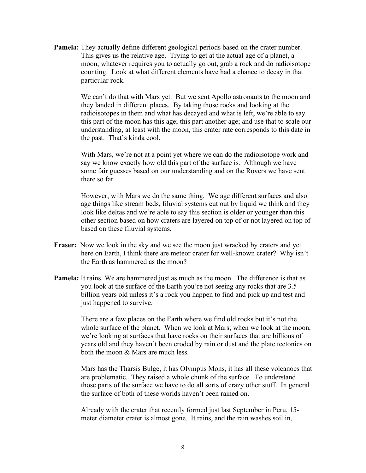**Pamela:** They actually define different geological periods based on the crater number. This gives us the relative age. Trying to get at the actual age of a planet, a moon, whatever requires you to actually go out, grab a rock and do radioisotope counting. Look at what different elements have had a chance to decay in that particular rock.

> We can't do that with Mars yet. But we sent Apollo astronauts to the moon and they landed in different places. By taking those rocks and looking at the radioisotopes in them and what has decayed and what is left, we're able to say this part of the moon has this age; this part another age; and use that to scale our understanding, at least with the moon, this crater rate corresponds to this date in the past. That's kinda cool.

With Mars, we're not at a point yet where we can do the radioisotope work and say we know exactly how old this part of the surface is. Although we have some fair guesses based on our understanding and on the Rovers we have sent there so far.

However, with Mars we do the same thing. We age different surfaces and also age things like stream beds, filuvial systems cut out by liquid we think and they look like deltas and we're able to say this section is older or younger than this other section based on how craters are layered on top of or not layered on top of based on these filuvial systems.

- **Fraser:** Now we look in the sky and we see the moon just wracked by craters and yet here on Earth, I think there are meteor crater for well-known crater? Why isn't the Earth as hammered as the moon?
- **Pamela:** It rains. We are hammered just as much as the moon. The difference is that as you look at the surface of the Earth you're not seeing any rocks that are 3.5 billion years old unless it's a rock you happen to find and pick up and test and just happened to survive.

There are a few places on the Earth where we find old rocks but it's not the whole surface of the planet. When we look at Mars; when we look at the moon, we're looking at surfaces that have rocks on their surfaces that are billions of years old and they haven't been eroded by rain or dust and the plate tectonics on both the moon & Mars are much less.

Mars has the Tharsis Bulge, it has Olympus Mons, it has all these volcanoes that are problematic. They raised a whole chunk of the surface. To understand those parts of the surface we have to do all sorts of crazy other stuff. In general the surface of both of these worlds haven't been rained on.

Already with the crater that recently formed just last September in Peru, 15 meter diameter crater is almost gone. It rains, and the rain washes soil in,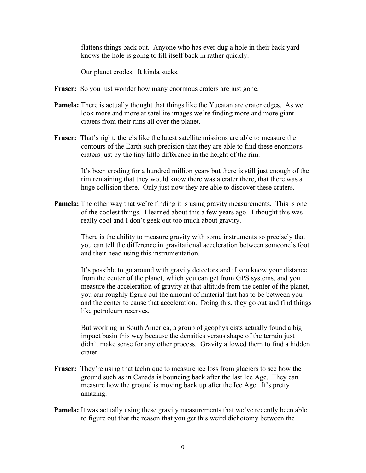flattens things back out. Anyone who has ever dug a hole in their back yard knows the hole is going to fill itself back in rather quickly.

Our planet erodes. It kinda sucks.

- **Fraser:** So you just wonder how many enormous craters are just gone.
- **Pamela:** There is actually thought that things like the Yucatan are crater edges. As we look more and more at satellite images we're finding more and more giant craters from their rims all over the planet.
- **Fraser:** That's right, there's like the latest satellite missions are able to measure the contours of the Earth such precision that they are able to find these enormous craters just by the tiny little difference in the height of the rim.

It's been eroding for a hundred million years but there is still just enough of the rim remaining that they would know there was a crater there, that there was a huge collision there. Only just now they are able to discover these craters.

**Pamela:** The other way that we're finding it is using gravity measurements. This is one of the coolest things. I learned about this a few years ago. I thought this was really cool and I don't geek out too much about gravity.

> There is the ability to measure gravity with some instruments so precisely that you can tell the difference in gravitational acceleration between someone's foot and their head using this instrumentation.

> It's possible to go around with gravity detectors and if you know your distance from the center of the planet, which you can get from GPS systems, and you measure the acceleration of gravity at that altitude from the center of the planet, you can roughly figure out the amount of material that has to be between you and the center to cause that acceleration. Doing this, they go out and find things like petroleum reserves.

> But working in South America, a group of geophysicists actually found a big impact basin this way because the densities versus shape of the terrain just didn't make sense for any other process. Gravity allowed them to find a hidden crater.

- **Fraser:** They're using that technique to measure ice loss from glaciers to see how the ground such as in Canada is bouncing back after the last Ice Age. They can measure how the ground is moving back up after the Ice Age. It's pretty amazing.
- **Pamela:** It was actually using these gravity measurements that we've recently been able to figure out that the reason that you get this weird dichotomy between the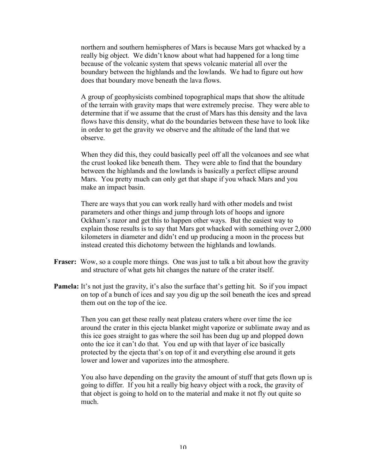northern and southern hemispheres of Mars is because Mars got whacked by a really big object. We didn't know about what had happened for a long time because of the volcanic system that spews volcanic material all over the boundary between the highlands and the lowlands. We had to figure out how does that boundary move beneath the lava flows.

A group of geophysicists combined topographical maps that show the altitude of the terrain with gravity maps that were extremely precise. They were able to determine that if we assume that the crust of Mars has this density and the lava flows have this density, what do the boundaries between these have to look like in order to get the gravity we observe and the altitude of the land that we observe.

When they did this, they could basically peel off all the volcanoes and see what the crust looked like beneath them. They were able to find that the boundary between the highlands and the lowlands is basically a perfect ellipse around Mars. You pretty much can only get that shape if you whack Mars and you make an impact basin.

There are ways that you can work really hard with other models and twist parameters and other things and jump through lots of hoops and ignore Ockham's razor and get this to happen other ways. But the easiest way to explain those results is to say that Mars got whacked with something over 2,000 kilometers in diameter and didn't end up producing a moon in the process but instead created this dichotomy between the highlands and lowlands.

- **Fraser:** Wow, so a couple more things. One was just to talk a bit about how the gravity and structure of what gets hit changes the nature of the crater itself.
- **Pamela:** It's not just the gravity, it's also the surface that's getting hit. So if you impact on top of a bunch of ices and say you dig up the soil beneath the ices and spread them out on the top of the ice.

Then you can get these really neat plateau craters where over time the ice around the crater in this ejecta blanket might vaporize or sublimate away and as this ice goes straight to gas where the soil has been dug up and plopped down onto the ice it can't do that. You end up with that layer of ice basically protected by the ejecta that's on top of it and everything else around it gets lower and lower and vaporizes into the atmosphere.

You also have depending on the gravity the amount of stuff that gets flown up is going to differ. If you hit a really big heavy object with a rock, the gravity of that object is going to hold on to the material and make it not fly out quite so much.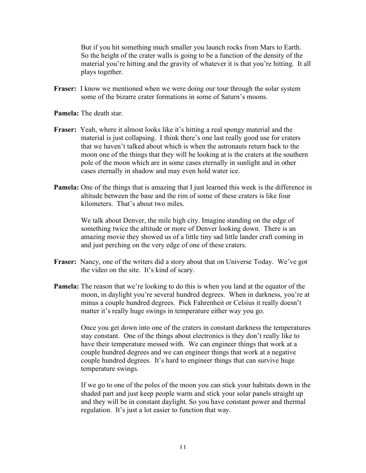But if you hit something much smaller you launch rocks from Mars to Earth. So the height of the crater walls is going to be a function of the density of the material you're hitting and the gravity of whatever it is that you're hitting. It all plays together.

**Fraser:** I know we mentioned when we were doing our tour through the solar system some of the bizarre crater formations in some of Saturn's moons.

**Pamela:** The death star.

- **Fraser:** Yeah, where it almost looks like it's hitting a real spongy material and the material is just collapsing. I think there's one last really good use for craters that we haven't talked about which is when the astronauts return back to the moon one of the things that they will be looking at is the craters at the southern pole of the moon which are in some cases eternally in sunlight and in other cases eternally in shadow and may even hold water ice.
- **Pamela:** One of the things that is amazing that I just learned this week is the difference in altitude between the base and the rim of some of these craters is like four kilometers. That's about two miles.

We talk about Denver, the mile high city. Imagine standing on the edge of something twice the altitude or more of Denver looking down. There is an amazing movie they showed us of a little tiny sad little lander craft coming in and just perching on the very edge of one of these craters.

- **Fraser:** Nancy, one of the writers did a story about that on Universe Today. We've got the video on the site. It's kind of scary.
- **Pamela:** The reason that we're looking to do this is when you land at the equator of the moon, in daylight you're several hundred degrees. When in darkness, you're at minus a couple hundred degrees. Pick Fahrenheit or Celsius it really doesn't matter it's really huge swings in temperature either way you go.

Once you get down into one of the craters in constant darkness the temperatures stay constant. One of the things about electronics is they don't really like to have their temperature messed with. We can engineer things that work at a couple hundred degrees and we can engineer things that work at a negative couple hundred degrees. It's hard to engineer things that can survive huge temperature swings.

If we go to one of the poles of the moon you can stick your habitats down in the shaded part and just keep people warm and stick your solar panels straight up and they will be in constant daylight. So you have constant power and thermal regulation. It's just a lot easier to function that way.